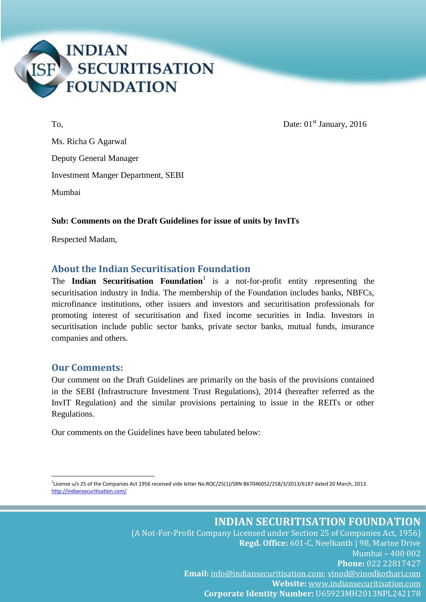

 $\Gamma$ o, Date: 01<sup>st</sup> January, 2016

Ms. Richa G Agarwal Deputy General Manager Investment Manger Department, SEBI Mumbai

#### **Sub: Comments on the Draft Guidelines for issue of units by InvITs**

Respected Madam,

#### **About the Indian Securitisation Foundation**

The **Indian Securitisation Foundation**<sup>1</sup> is a not-for-profit entity representing the securitisation industry in India. The membership of the Foundation includes banks, NBFCs, microfinance institutions, other issuers and investors and securitisation professionals for promoting interest of securitisation and fixed income securities in India. Investors in securitisation include public sector banks, private sector banks, mutual funds, insurance companies and others.

#### **Our Comments:**

1

Our comment on the Draft Guidelines are primarily on the basis of the provisions contained in the SEBI (Infrastructure Investment Trust Regulations), 2014 (hereafter referred as the InvIT Regulation) and the similar provisions pertaining to issue in the REITs or other Regulations.

Our comments on the Guidelines have been tabulated below:

1 License u/s 25 of the Companies Act 1956 received vide letter No.ROC/25(1)/SRN B67046052/258/3/2013/6187 dated 20 March, 2013. <http://indiansecuritisation.com/>

> **INDIAN SECURITISATION FOUNDATION** (A Not-For-Profit Company Licensed under Section 25 of Companies Act, 1956) **Regd. Office:** 601-C, Neelkanth | 98, Marine Drive Mumbai – 400 002 **Phone:** 022 22817427 **Email:** [info@indiansecuritisation.com;](mailto:info@indiansecuritisation.com) [vinod@vinodkothari.com](mailto:vinod@vinodkothari.com) **Website:** [www.indiansecuritisation.com](http://www.indiansecuritisation.com/) **Corporate Identity Number:** U65923MH2013NPL242178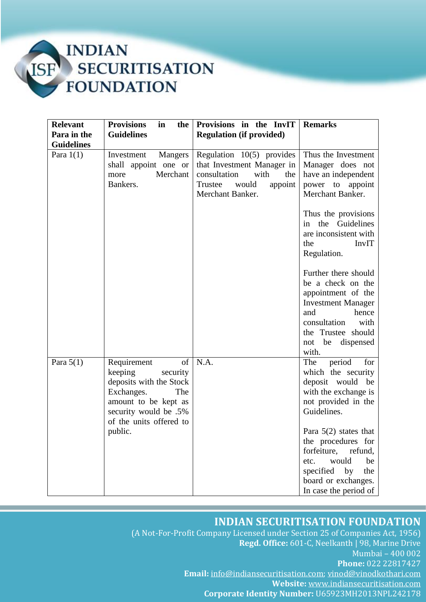

| <b>Relevant</b>   | <b>Provisions</b><br>in<br>the                                                                                                                                                          | Provisions in the InvIT                                                                                                                     | <b>Remarks</b>                                                                                                                                                                                                                                                                                              |  |  |
|-------------------|-----------------------------------------------------------------------------------------------------------------------------------------------------------------------------------------|---------------------------------------------------------------------------------------------------------------------------------------------|-------------------------------------------------------------------------------------------------------------------------------------------------------------------------------------------------------------------------------------------------------------------------------------------------------------|--|--|
| Para in the       | <b>Guidelines</b>                                                                                                                                                                       | <b>Regulation (if provided)</b>                                                                                                             |                                                                                                                                                                                                                                                                                                             |  |  |
| <b>Guidelines</b> |                                                                                                                                                                                         |                                                                                                                                             |                                                                                                                                                                                                                                                                                                             |  |  |
| Para $1(1)$       | Investment<br>Mangers<br>shall appoint one or<br>Merchant<br>more<br>Bankers.                                                                                                           | Regulation $10(5)$ provides<br>that Investment Manager in<br>consultation<br>with<br>the<br>would<br>appoint<br>Trustee<br>Merchant Banker. | Thus the Investment<br>Manager does not<br>have an independent<br>power to appoint<br>Merchant Banker.                                                                                                                                                                                                      |  |  |
|                   |                                                                                                                                                                                         |                                                                                                                                             | Thus the provisions<br>the<br>Guidelines<br>in<br>are inconsistent with<br>the<br><b>InvIT</b><br>Regulation.                                                                                                                                                                                               |  |  |
|                   |                                                                                                                                                                                         |                                                                                                                                             | Further there should<br>be a check on the<br>appointment of the<br><b>Investment Manager</b><br>hence<br>and<br>consultation<br>with<br>the Trustee should<br>not be dispensed<br>with.                                                                                                                     |  |  |
| Para $5(1)$       | $\sigma$ f<br>Requirement<br>keeping<br>security<br>deposits with the Stock<br>Exchanges.<br>The<br>amount to be kept as<br>security would be .5%<br>of the units offered to<br>public. | N.A.                                                                                                                                        | The<br>period<br>for<br>which the security<br>deposit would<br>be<br>with the exchange is<br>not provided in the<br>Guidelines.<br>Para $5(2)$ states that<br>the procedures for<br>forfeiture,<br>refund,<br>would<br>be<br>etc.<br>specified<br>by<br>the<br>board or exchanges.<br>In case the period of |  |  |

# **INDIAN SECURITISATION FOUNDATION**

(A Not-For-Profit Company Licensed under Section 25 of Companies Act, 1956) **Regd. Office:** 601-C, Neelkanth | 98, Marine Drive Mumbai – 400 002 **Phone:** 022 22817427 **Email:** [info@indiansecuritisation.com;](mailto:info@indiansecuritisation.com) [vinod@vinodkothari.com](mailto:vinod@vinodkothari.com) **Website:** [www.indiansecuritisation.com](http://www.indiansecuritisation.com/) **Corporate Identity Number:** U65923MH2013NPL242178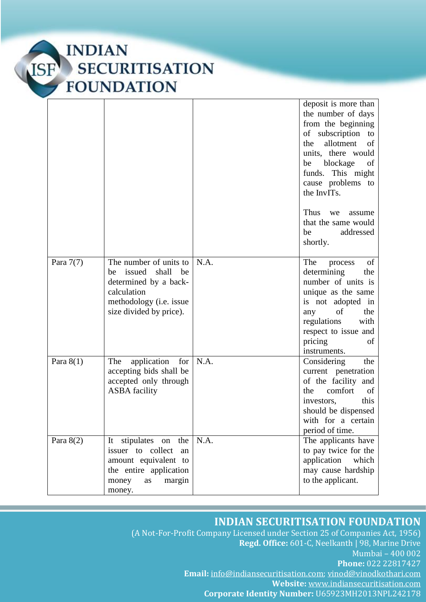

|             |                                                                                                                                                     |      | deposit is more than<br>the number of days<br>from the beginning<br>of subscription<br>to<br>allotment<br>the<br>of<br>units, there would<br>be blockage<br>of<br>funds. This might<br>cause problems to<br>the InvITs.<br>Thus<br>we<br>assume<br>that the same would<br>addressed<br>be<br>shortly. |
|-------------|-----------------------------------------------------------------------------------------------------------------------------------------------------|------|-------------------------------------------------------------------------------------------------------------------------------------------------------------------------------------------------------------------------------------------------------------------------------------------------------|
| Para $7(7)$ | The number of units to<br>issued<br>shall<br>be<br>be<br>determined by a back-<br>calculation<br>methodology (i.e. issue<br>size divided by price). | N.A. | of<br>The<br>process<br>determining<br>the<br>number of units is<br>unique as the same<br>is not adopted in<br>of<br>any<br>the<br>regulations<br>with<br>respect to issue and<br>pricing<br>of<br>instruments.                                                                                       |
| Para $8(1)$ | The<br>application<br>for<br>accepting bids shall be<br>accepted only through<br><b>ASBA</b> facility                                               | N.A. | Considering<br>the<br>current penetration<br>of the facility and<br>comfort<br>of<br>the<br>this<br>investors,<br>should be dispensed<br>with for a certain<br>period of time.                                                                                                                        |
| Para $8(2)$ | stipulates on the   N.A.<br>It<br>issuer to collect<br>an<br>amount equivalent to<br>the entire application<br>margin<br>money<br>as<br>money.      |      | The applicants have<br>to pay twice for the<br>application<br>which<br>may cause hardship<br>to the applicant.                                                                                                                                                                                        |

# **INDIAN SECURITISATION FOUNDATION**

(A Not-For-Profit Company Licensed under Section 25 of Companies Act, 1956) **Regd. Office:** 601-C, Neelkanth | 98, Marine Drive Mumbai – 400 002 **Phone:** 022 22817427 **Email:** [info@indiansecuritisation.com;](mailto:info@indiansecuritisation.com) [vinod@vinodkothari.com](mailto:vinod@vinodkothari.com) **Website:** [www.indiansecuritisation.com](http://www.indiansecuritisation.com/) **Corporate Identity Number:** U65923MH2013NPL242178